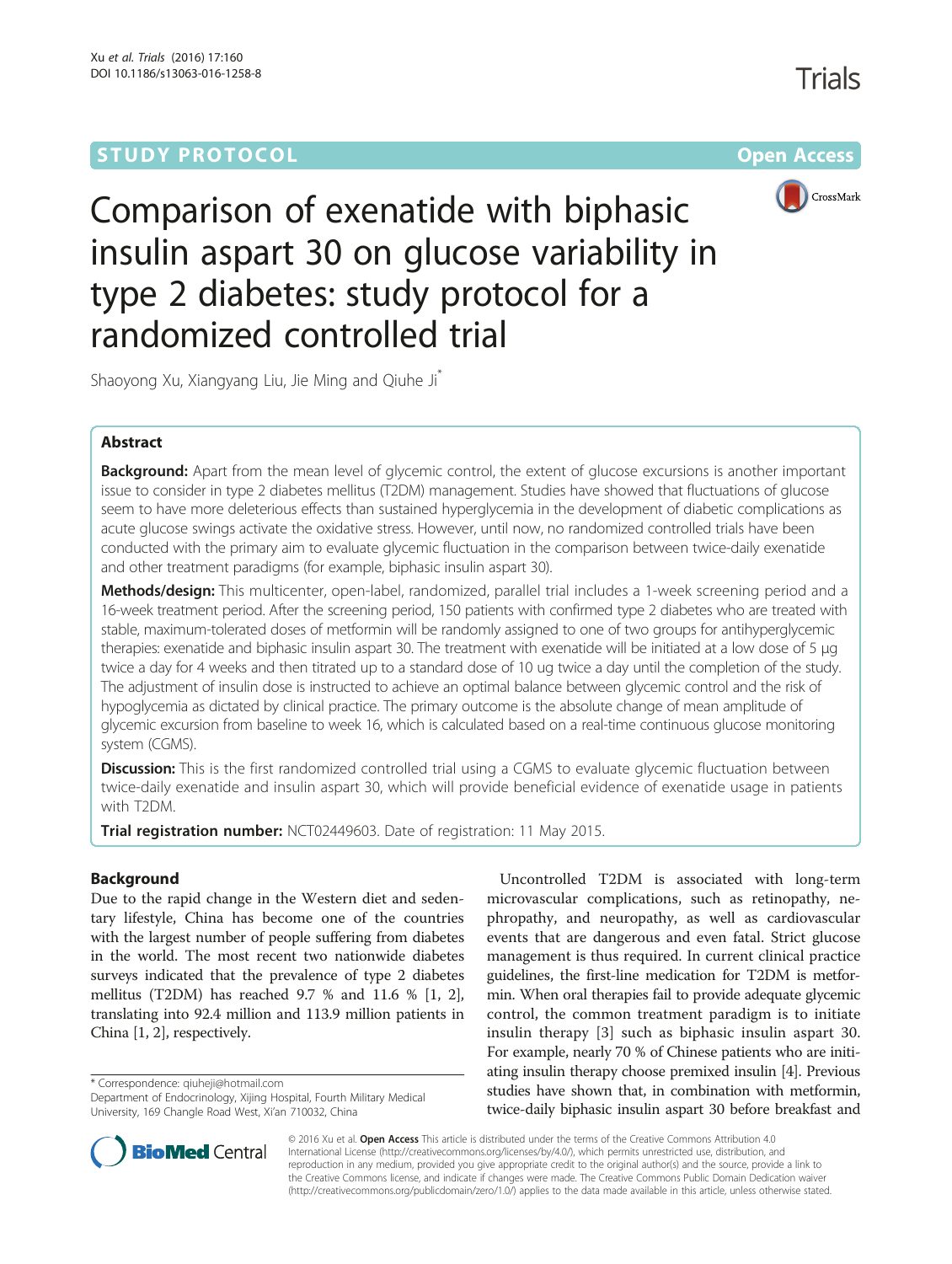# **STUDY PROTOCOL CONSUMING THE RESERVE ACCESS**



Comparison of exenatide with biphasic insulin aspart 30 on glucose variability in type 2 diabetes: study protocol for a randomized controlled trial

Shaoyong Xu, Xiangyang Liu, Jie Ming and Qiuhe Ji\*

# Abstract

Background: Apart from the mean level of glycemic control, the extent of glucose excursions is another important issue to consider in type 2 diabetes mellitus (T2DM) management. Studies have showed that fluctuations of glucose seem to have more deleterious effects than sustained hyperglycemia in the development of diabetic complications as acute glucose swings activate the oxidative stress. However, until now, no randomized controlled trials have been conducted with the primary aim to evaluate glycemic fluctuation in the comparison between twice-daily exenatide and other treatment paradigms (for example, biphasic insulin aspart 30).

Methods/design: This multicenter, open-label, randomized, parallel trial includes a 1-week screening period and a 16-week treatment period. After the screening period, 150 patients with confirmed type 2 diabetes who are treated with stable, maximum-tolerated doses of metformin will be randomly assigned to one of two groups for antihyperglycemic therapies: exenatide and biphasic insulin aspart 30. The treatment with exenatide will be initiated at a low dose of 5 μg twice a day for 4 weeks and then titrated up to a standard dose of 10 ug twice a day until the completion of the study. The adjustment of insulin dose is instructed to achieve an optimal balance between glycemic control and the risk of hypoglycemia as dictated by clinical practice. The primary outcome is the absolute change of mean amplitude of glycemic excursion from baseline to week 16, which is calculated based on a real-time continuous glucose monitoring system (CGMS).

**Discussion:** This is the first randomized controlled trial using a CGMS to evaluate glycemic fluctuation between twice-daily exenatide and insulin aspart 30, which will provide beneficial evidence of exenatide usage in patients with T2DM.

Trial registration number: [NCT02449603.](https://clinicaltrials.gov/show/NCT02449603) Date of registration: 11 May 2015.

# Background

Due to the rapid change in the Western diet and sedentary lifestyle, China has become one of the countries with the largest number of people suffering from diabetes in the world. The most recent two nationwide diabetes surveys indicated that the prevalence of type 2 diabetes mellitus (T2DM) has reached 9.7 % and 11.6 % [[1, 2](#page-6-0)], translating into 92.4 million and 113.9 million patients in China [\[1](#page-6-0), [2\]](#page-6-0), respectively.

\* Correspondence: [qiuheji@hotmail.com](mailto:qiuheji@hotmail.com)

Uncontrolled T2DM is associated with long-term microvascular complications, such as retinopathy, nephropathy, and neuropathy, as well as cardiovascular events that are dangerous and even fatal. Strict glucose management is thus required. In current clinical practice guidelines, the first-line medication for T2DM is metformin. When oral therapies fail to provide adequate glycemic control, the common treatment paradigm is to initiate insulin therapy [\[3](#page-6-0)] such as biphasic insulin aspart 30. For example, nearly 70 % of Chinese patients who are initiating insulin therapy choose premixed insulin [\[4\]](#page-6-0). Previous studies have shown that, in combination with metformin, twice-daily biphasic insulin aspart 30 before breakfast and



© 2016 Xu et al. Open Access This article is distributed under the terms of the Creative Commons Attribution 4.0 International License [\(http://creativecommons.org/licenses/by/4.0/](http://creativecommons.org/licenses/by/4.0/)), which permits unrestricted use, distribution, and reproduction in any medium, provided you give appropriate credit to the original author(s) and the source, provide a link to the Creative Commons license, and indicate if changes were made. The Creative Commons Public Domain Dedication waiver [\(http://creativecommons.org/publicdomain/zero/1.0/](http://creativecommons.org/publicdomain/zero/1.0/)) applies to the data made available in this article, unless otherwise stated.

Department of Endocrinology, Xijing Hospital, Fourth Military Medical University, 169 Changle Road West, Xi'an 710032, China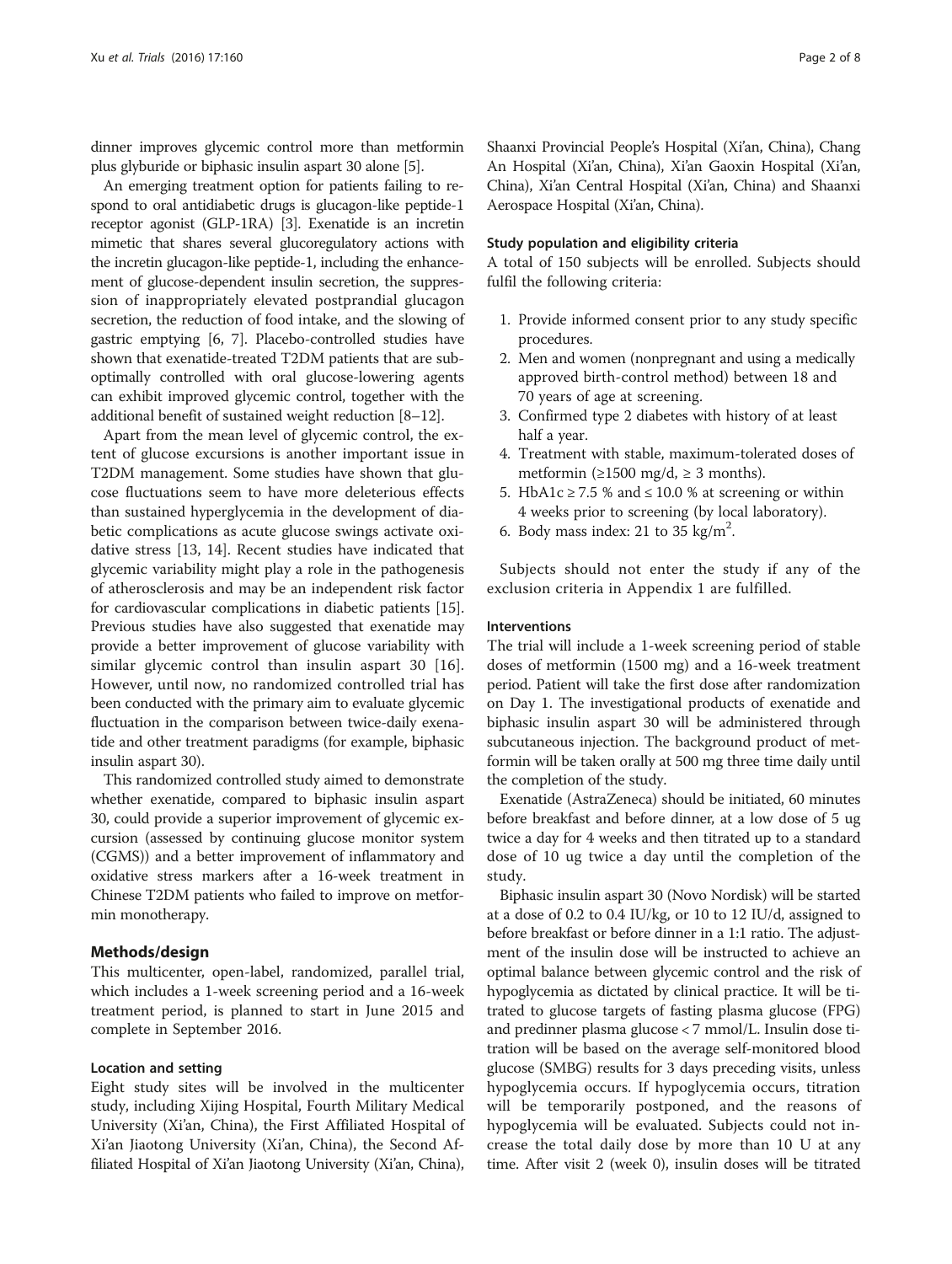dinner improves glycemic control more than metformin plus glyburide or biphasic insulin aspart 30 alone [[5](#page-7-0)].

An emerging treatment option for patients failing to respond to oral antidiabetic drugs is glucagon-like peptide-1 receptor agonist (GLP-1RA) [[3](#page-6-0)]. Exenatide is an incretin mimetic that shares several glucoregulatory actions with the incretin glucagon-like peptide-1, including the enhancement of glucose-dependent insulin secretion, the suppression of inappropriately elevated postprandial glucagon secretion, the reduction of food intake, and the slowing of gastric emptying [\[6](#page-7-0), [7\]](#page-7-0). Placebo-controlled studies have shown that exenatide-treated T2DM patients that are suboptimally controlled with oral glucose-lowering agents can exhibit improved glycemic control, together with the additional benefit of sustained weight reduction [[8](#page-7-0)–[12\]](#page-7-0).

Apart from the mean level of glycemic control, the extent of glucose excursions is another important issue in T2DM management. Some studies have shown that glucose fluctuations seem to have more deleterious effects than sustained hyperglycemia in the development of diabetic complications as acute glucose swings activate oxidative stress [[13, 14](#page-7-0)]. Recent studies have indicated that glycemic variability might play a role in the pathogenesis of atherosclerosis and may be an independent risk factor for cardiovascular complications in diabetic patients [[15](#page-7-0)]. Previous studies have also suggested that exenatide may provide a better improvement of glucose variability with similar glycemic control than insulin aspart 30 [\[16](#page-7-0)]. However, until now, no randomized controlled trial has been conducted with the primary aim to evaluate glycemic fluctuation in the comparison between twice-daily exenatide and other treatment paradigms (for example, biphasic insulin aspart 30).

This randomized controlled study aimed to demonstrate whether exenatide, compared to biphasic insulin aspart 30, could provide a superior improvement of glycemic excursion (assessed by continuing glucose monitor system (CGMS)) and a better improvement of inflammatory and oxidative stress markers after a 16-week treatment in Chinese T2DM patients who failed to improve on metformin monotherapy.

#### Methods/design

This multicenter, open-label, randomized, parallel trial, which includes a 1-week screening period and a 16-week treatment period, is planned to start in June 2015 and complete in September 2016.

#### Location and setting

Eight study sites will be involved in the multicenter study, including Xijing Hospital, Fourth Military Medical University (Xi'an, China), the First Affiliated Hospital of Xi'an Jiaotong University (Xi'an, China), the Second Affiliated Hospital of Xi'an Jiaotong University (Xi'an, China), Shaanxi Provincial People's Hospital (Xi'an, China), Chang An Hospital (Xi'an, China), Xi'an Gaoxin Hospital (Xi'an, China), Xi'an Central Hospital (Xi'an, China) and Shaanxi Aerospace Hospital (Xi'an, China).

#### Study population and eligibility criteria

A total of 150 subjects will be enrolled. Subjects should fulfil the following criteria:

- 1. Provide informed consent prior to any study specific procedures.
- 2. Men and women (nonpregnant and using a medically approved birth-control method) between 18 and 70 years of age at screening.
- 3. Confirmed type 2 diabetes with history of at least half a year.
- 4. Treatment with stable, maximum-tolerated doses of metformin (≥1500 mg/d, ≥ 3 months).
- 5. HbA1c ≥ 7.5 % and ≤ 10.0 % at screening or within 4 weeks prior to screening (by local laboratory).
- 6. Body mass index: 21 to 35 kg/m<sup>2</sup>.

Subjects should not enter the study if any of the exclusion criteria in Appendix 1 are fulfilled.

#### Interventions

The trial will include a 1-week screening period of stable doses of metformin (1500 mg) and a 16-week treatment period. Patient will take the first dose after randomization on Day 1. The investigational products of exenatide and biphasic insulin aspart 30 will be administered through subcutaneous injection. The background product of metformin will be taken orally at 500 mg three time daily until the completion of the study.

Exenatide (AstraZeneca) should be initiated, 60 minutes before breakfast and before dinner, at a low dose of 5 ug twice a day for 4 weeks and then titrated up to a standard dose of 10 ug twice a day until the completion of the study.

Biphasic insulin aspart 30 (Novo Nordisk) will be started at a dose of 0.2 to 0.4 IU/kg, or 10 to 12 IU/d, assigned to before breakfast or before dinner in a 1:1 ratio. The adjustment of the insulin dose will be instructed to achieve an optimal balance between glycemic control and the risk of hypoglycemia as dictated by clinical practice. It will be titrated to glucose targets of fasting plasma glucose (FPG) and predinner plasma glucose < 7 mmol/L. Insulin dose titration will be based on the average self-monitored blood glucose (SMBG) results for 3 days preceding visits, unless hypoglycemia occurs. If hypoglycemia occurs, titration will be temporarily postponed, and the reasons of hypoglycemia will be evaluated. Subjects could not increase the total daily dose by more than 10 U at any time. After visit 2 (week 0), insulin doses will be titrated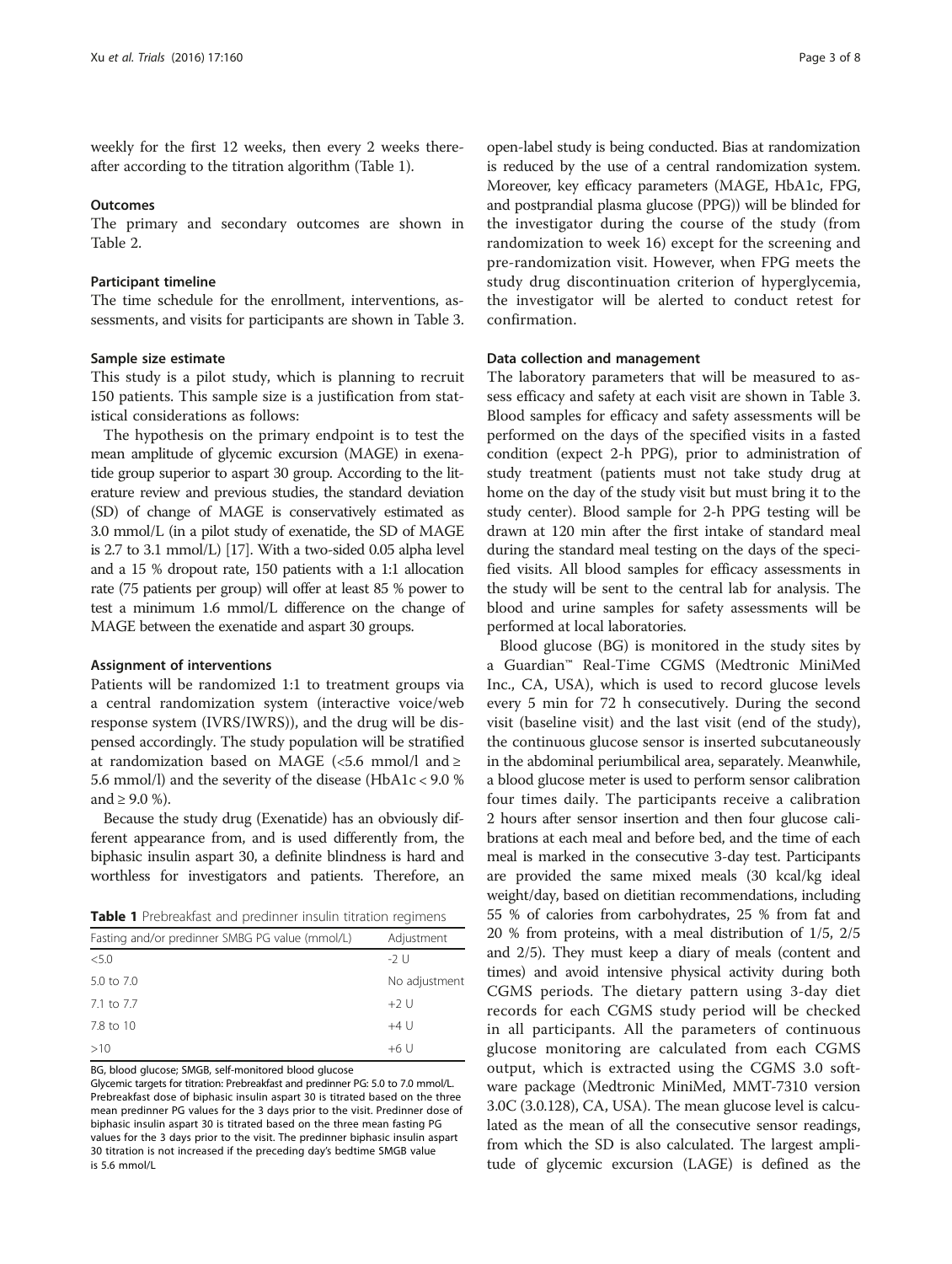weekly for the first 12 weeks, then every 2 weeks thereafter according to the titration algorithm (Table 1).

#### **Outcomes**

The primary and secondary outcomes are shown in Table [2.](#page-3-0)

#### Participant timeline

The time schedule for the enrollment, interventions, assessments, and visits for participants are shown in Table [3](#page-4-0).

#### Sample size estimate

This study is a pilot study, which is planning to recruit 150 patients. This sample size is a justification from statistical considerations as follows:

The hypothesis on the primary endpoint is to test the mean amplitude of glycemic excursion (MAGE) in exenatide group superior to aspart 30 group. According to the literature review and previous studies, the standard deviation (SD) of change of MAGE is conservatively estimated as 3.0 mmol/L (in a pilot study of exenatide, the SD of MAGE is 2.7 to 3.1 mmol/L) [\[17](#page-7-0)]. With a two-sided 0.05 alpha level and a 15 % dropout rate, 150 patients with a 1:1 allocation rate (75 patients per group) will offer at least 85 % power to test a minimum 1.6 mmol/L difference on the change of MAGE between the exenatide and aspart 30 groups.

#### Assignment of interventions

Patients will be randomized 1:1 to treatment groups via a central randomization system (interactive voice/web response system (IVRS/IWRS)), and the drug will be dispensed accordingly. The study population will be stratified at randomization based on MAGE (<5.6 mmol/l and  $\ge$ 5.6 mmol/l) and the severity of the disease (HbA1c < 9.0 % and ≥ 9.0 %).

Because the study drug (Exenatide) has an obviously different appearance from, and is used differently from, the biphasic insulin aspart 30, a definite blindness is hard and worthless for investigators and patients. Therefore, an

| <b>Table 1</b> Prebreakfast and predinner insulin titration regimens |  |  |  |  |  |
|----------------------------------------------------------------------|--|--|--|--|--|
|----------------------------------------------------------------------|--|--|--|--|--|

| Fasting and/or predinner SMBG PG value (mmol/L) | Adjustment    |  |  |  |
|-------------------------------------------------|---------------|--|--|--|
| < 5.0                                           | -2 U          |  |  |  |
| 5.0 to 7.0                                      | No adjustment |  |  |  |
| 7.1 to 7.7                                      | $+2U$         |  |  |  |
| 7.8 to 10                                       | $+4$ U        |  |  |  |
| >10                                             | $+6$ U        |  |  |  |

BG, blood glucose; SMGB, self-monitored blood glucose

Glycemic targets for titration: Prebreakfast and predinner PG: 5.0 to 7.0 mmol/L. Prebreakfast dose of biphasic insulin aspart 30 is titrated based on the three mean predinner PG values for the 3 days prior to the visit. Predinner dose of biphasic insulin aspart 30 is titrated based on the three mean fasting PG values for the 3 days prior to the visit. The predinner biphasic insulin aspart 30 titration is not increased if the preceding day's bedtime SMGB value is 5.6 mmol/L

open-label study is being conducted. Bias at randomization is reduced by the use of a central randomization system. Moreover, key efficacy parameters (MAGE, HbA1c, FPG, and postprandial plasma glucose (PPG)) will be blinded for the investigator during the course of the study (from randomization to week 16) except for the screening and pre-randomization visit. However, when FPG meets the study drug discontinuation criterion of hyperglycemia, the investigator will be alerted to conduct retest for confirmation.

#### Data collection and management

The laboratory parameters that will be measured to assess efficacy and safety at each visit are shown in Table [3](#page-4-0). Blood samples for efficacy and safety assessments will be performed on the days of the specified visits in a fasted condition (expect 2-h PPG), prior to administration of study treatment (patients must not take study drug at home on the day of the study visit but must bring it to the study center). Blood sample for 2-h PPG testing will be drawn at 120 min after the first intake of standard meal during the standard meal testing on the days of the specified visits. All blood samples for efficacy assessments in the study will be sent to the central lab for analysis. The blood and urine samples for safety assessments will be performed at local laboratories.

Blood glucose (BG) is monitored in the study sites by a Guardian™ Real-Time CGMS (Medtronic MiniMed Inc., CA, USA), which is used to record glucose levels every 5 min for 72 h consecutively. During the second visit (baseline visit) and the last visit (end of the study), the continuous glucose sensor is inserted subcutaneously in the abdominal periumbilical area, separately. Meanwhile, a blood glucose meter is used to perform sensor calibration four times daily. The participants receive a calibration 2 hours after sensor insertion and then four glucose calibrations at each meal and before bed, and the time of each meal is marked in the consecutive 3-day test. Participants are provided the same mixed meals (30 kcal/kg ideal weight/day, based on dietitian recommendations, including 55 % of calories from carbohydrates, 25 % from fat and 20 % from proteins, with a meal distribution of 1/5, 2/5 and 2/5). They must keep a diary of meals (content and times) and avoid intensive physical activity during both CGMS periods. The dietary pattern using 3-day diet records for each CGMS study period will be checked in all participants. All the parameters of continuous glucose monitoring are calculated from each CGMS output, which is extracted using the CGMS 3.0 software package (Medtronic MiniMed, MMT-7310 version 3.0C (3.0.128), CA, USA). The mean glucose level is calculated as the mean of all the consecutive sensor readings, from which the SD is also calculated. The largest amplitude of glycemic excursion (LAGE) is defined as the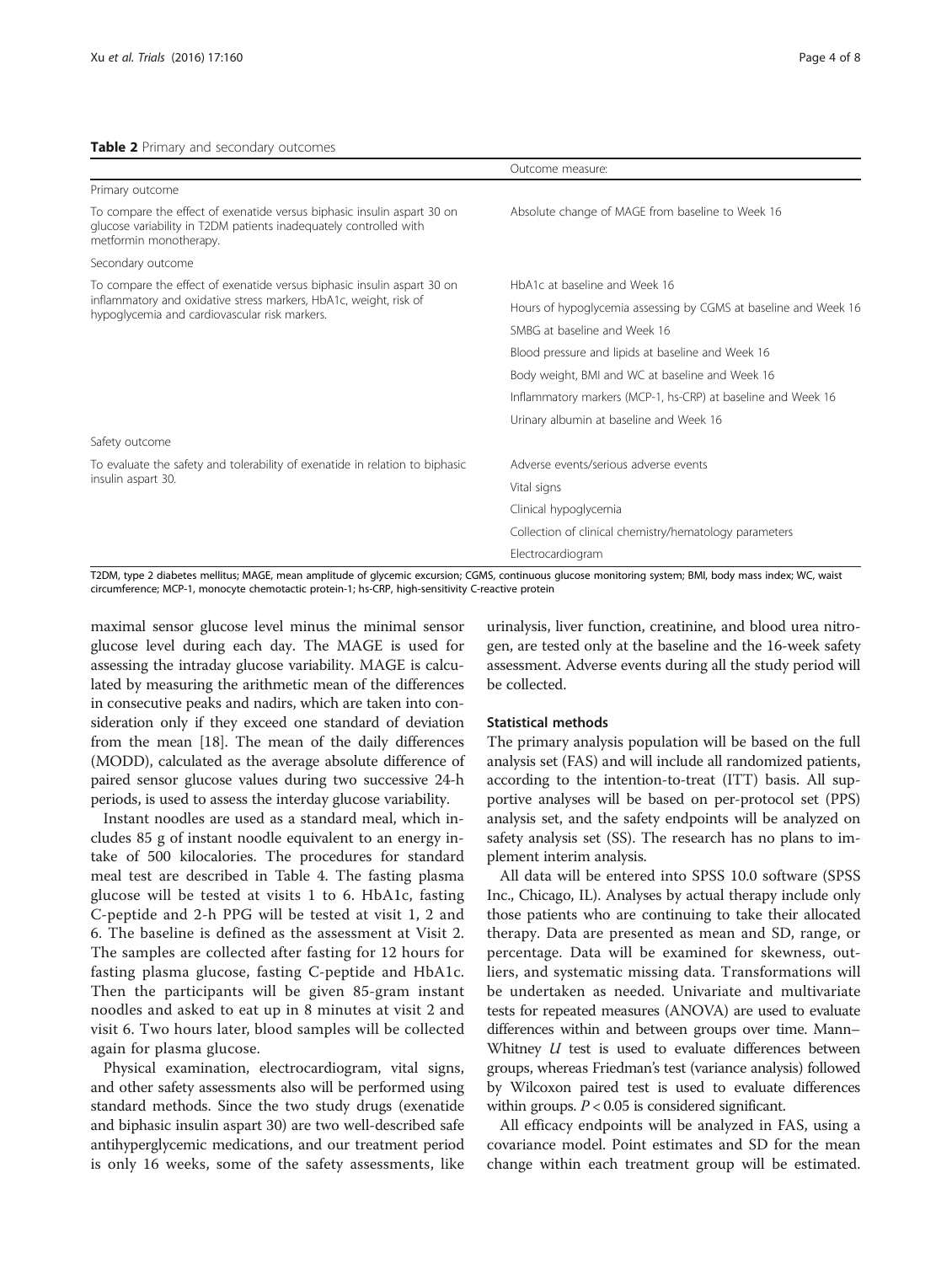### <span id="page-3-0"></span>Table 2 Primary and secondary outcomes

|                                                                                                                                                                        | Outcome measure:                                                |  |  |  |  |
|------------------------------------------------------------------------------------------------------------------------------------------------------------------------|-----------------------------------------------------------------|--|--|--|--|
| Primary outcome                                                                                                                                                        |                                                                 |  |  |  |  |
| To compare the effect of exenatide versus biphasic insulin aspart 30 on<br>glucose variability in T2DM patients inadequately controlled with<br>metformin monotherapy. | Absolute change of MAGE from baseline to Week 16                |  |  |  |  |
| Secondary outcome                                                                                                                                                      |                                                                 |  |  |  |  |
| To compare the effect of exenatide versus biphasic insulin aspart 30 on                                                                                                | HbA1c at baseline and Week 16                                   |  |  |  |  |
| inflammatory and oxidative stress markers, HbA1c, weight, risk of<br>hypoglycemia and cardiovascular risk markers.                                                     | Hours of hypoglycemia assessing by CGMS at baseline and Week 16 |  |  |  |  |
|                                                                                                                                                                        | SMBG at baseline and Week 16                                    |  |  |  |  |
|                                                                                                                                                                        | Blood pressure and lipids at baseline and Week 16               |  |  |  |  |
|                                                                                                                                                                        | Body weight, BMI and WC at baseline and Week 16                 |  |  |  |  |
|                                                                                                                                                                        | Inflammatory markers (MCP-1, hs-CRP) at baseline and Week 16    |  |  |  |  |
|                                                                                                                                                                        | Urinary albumin at baseline and Week 16                         |  |  |  |  |
| Safety outcome                                                                                                                                                         |                                                                 |  |  |  |  |
| To evaluate the safety and tolerability of exenatide in relation to biphasic                                                                                           | Adverse events/serious adverse events                           |  |  |  |  |
| insulin aspart 30.                                                                                                                                                     | Vital signs                                                     |  |  |  |  |
|                                                                                                                                                                        | Clinical hypoglycemia                                           |  |  |  |  |
|                                                                                                                                                                        | Collection of clinical chemistry/hematology parameters          |  |  |  |  |
|                                                                                                                                                                        | Electrocardiogram                                               |  |  |  |  |

T2DM, type 2 diabetes mellitus; MAGE, mean amplitude of glycemic excursion; CGMS, continuous glucose monitoring system; BMI, body mass index; WC, waist circumference; MCP-1, monocyte chemotactic protein-1; hs-CRP, high-sensitivity C-reactive protein

maximal sensor glucose level minus the minimal sensor glucose level during each day. The MAGE is used for assessing the intraday glucose variability. MAGE is calculated by measuring the arithmetic mean of the differences in consecutive peaks and nadirs, which are taken into consideration only if they exceed one standard of deviation from the mean [[18](#page-7-0)]. The mean of the daily differences (MODD), calculated as the average absolute difference of paired sensor glucose values during two successive 24-h periods, is used to assess the interday glucose variability.

Instant noodles are used as a standard meal, which includes 85 g of instant noodle equivalent to an energy intake of 500 kilocalories. The procedures for standard meal test are described in Table [4](#page-5-0). The fasting plasma glucose will be tested at visits 1 to 6. HbA1c, fasting C-peptide and 2-h PPG will be tested at visit 1, 2 and 6. The baseline is defined as the assessment at Visit 2. The samples are collected after fasting for 12 hours for fasting plasma glucose, fasting C-peptide and HbA1c. Then the participants will be given 85-gram instant noodles and asked to eat up in 8 minutes at visit 2 and visit 6. Two hours later, blood samples will be collected again for plasma glucose.

Physical examination, electrocardiogram, vital signs, and other safety assessments also will be performed using standard methods. Since the two study drugs (exenatide and biphasic insulin aspart 30) are two well-described safe antihyperglycemic medications, and our treatment period is only 16 weeks, some of the safety assessments, like

urinalysis, liver function, creatinine, and blood urea nitrogen, are tested only at the baseline and the 16-week safety assessment. Adverse events during all the study period will be collected.

#### Statistical methods

The primary analysis population will be based on the full analysis set (FAS) and will include all randomized patients, according to the intention-to-treat (ITT) basis. All supportive analyses will be based on per-protocol set (PPS) analysis set, and the safety endpoints will be analyzed on safety analysis set (SS). The research has no plans to implement interim analysis.

All data will be entered into SPSS 10.0 software (SPSS Inc., Chicago, IL). Analyses by actual therapy include only those patients who are continuing to take their allocated therapy. Data are presented as mean and SD, range, or percentage. Data will be examined for skewness, outliers, and systematic missing data. Transformations will be undertaken as needed. Univariate and multivariate tests for repeated measures (ANOVA) are used to evaluate differences within and between groups over time. Mann– Whitney  $U$  test is used to evaluate differences between groups, whereas Friedman's test (variance analysis) followed by Wilcoxon paired test is used to evaluate differences within groups.  $P < 0.05$  is considered significant.

All efficacy endpoints will be analyzed in FAS, using a covariance model. Point estimates and SD for the mean change within each treatment group will be estimated.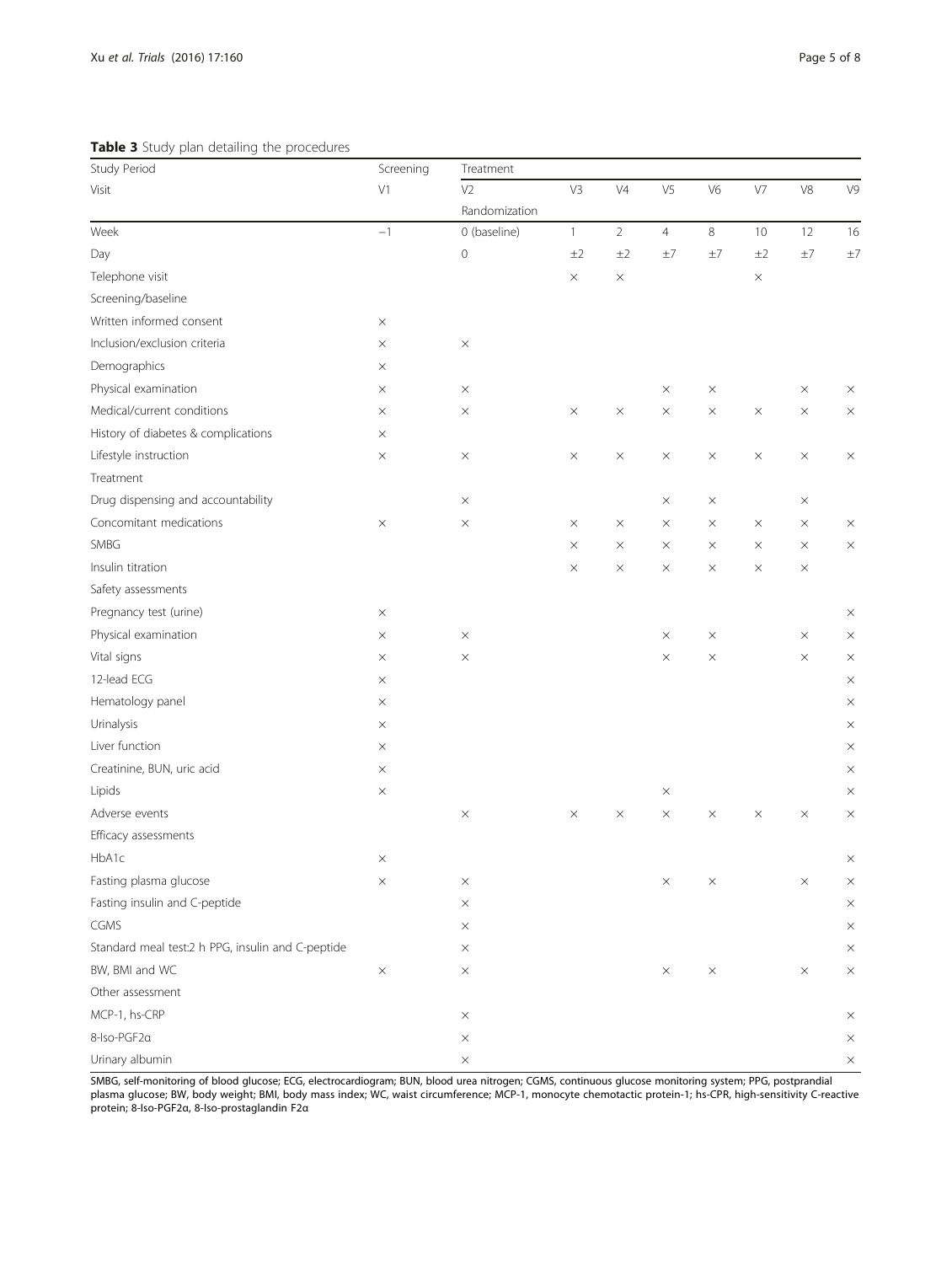<span id="page-4-0"></span>Table 3 Study plan detailing the procedures

| Study Period                                      | Screening | Treatment           |              |                |                |                |          |             |                |
|---------------------------------------------------|-----------|---------------------|--------------|----------------|----------------|----------------|----------|-------------|----------------|
| Visit                                             | V1        | V <sub>2</sub>      | V3           | V <sub>4</sub> | V <sub>5</sub> | V <sub>6</sub> | V7       | $\vee\!\!8$ | V <sup>9</sup> |
|                                                   |           | Randomization       |              |                |                |                |          |             |                |
| Week                                              | $-1$      | 0 (baseline)        | $\mathbf{1}$ | $\overline{2}$ | $\overline{4}$ | $\,8\,$        | 10       | 12          | 16             |
| Day                                               |           | $\mathsf{O}\xspace$ | ±2           | ±2             | $\pm 7$        | ±7             | ±2       | $\pm 7$     | $\pm 7$        |
| Telephone visit                                   |           |                     | $\times$     | X              |                |                | $\times$ |             |                |
| Screening/baseline                                |           |                     |              |                |                |                |          |             |                |
| Written informed consent                          | $\times$  |                     |              |                |                |                |          |             |                |
| Inclusion/exclusion criteria                      | $\times$  | $\times$            |              |                |                |                |          |             |                |
| Demographics                                      | $\times$  |                     |              |                |                |                |          |             |                |
| Physical examination                              | $\times$  | $\times$            |              |                | $\times$       | $\times$       |          | $\times$    | $\times$       |
| Medical/current conditions                        | X         | $\times$            | $\times$     | $\times$       | $\times$       | $\times$       | $\times$ | $\times$    | $\times$       |
| History of diabetes & complications               | $\times$  |                     |              |                |                |                |          |             |                |
| Lifestyle instruction                             | $\times$  | $\times$            | $\times$     | $\times$       | $\times$       | $\times$       | $\times$ | $\times$    | $\times$       |
| Treatment                                         |           |                     |              |                |                |                |          |             |                |
| Drug dispensing and accountability                |           | $\times$            |              |                | $\times$       | $\times$       |          | $\times$    |                |
| Concomitant medications                           | $\times$  | $\times$            | $\times$     | $\times$       | $\times$       | $\times$       | $\times$ | $\times$    | $\times$       |
| SMBG                                              |           |                     | $\times$     | $\times$       | ×              | $\times$       | $\times$ | $\times$    | $\times$       |
| Insulin titration                                 |           |                     | $\times$     | $\times$       | ×              | $\times$       | $\times$ | $\times$    |                |
| Safety assessments                                |           |                     |              |                |                |                |          |             |                |
| Pregnancy test (urine)                            | $\times$  |                     |              |                |                |                |          |             | $\times$       |
| Physical examination                              | $\times$  | $\times$            |              |                | $\times$       | $\times$       |          | $\times$    | $\times$       |
| Vital signs                                       | $\times$  | $\times$            |              |                | $\times$       | $\times$       |          | $\times$    | $\times$       |
| 12-lead ECG                                       | X         |                     |              |                |                |                |          |             | $\times$       |
| Hematology panel                                  | $\times$  |                     |              |                |                |                |          |             | $\times$       |
| Urinalysis                                        | $\times$  |                     |              |                |                |                |          |             | $\times$       |
| Liver function                                    | $\times$  |                     |              |                |                |                |          |             | $\times$       |
| Creatinine, BUN, uric acid                        | $\times$  |                     |              |                |                |                |          |             | $\times$       |
| Lipids                                            | $\times$  |                     |              |                | $\times$       |                |          |             | $\times$       |
| Adverse events                                    |           | $\times$            | $\times$     | $\times$       | $\times$       | $\times$       | $\times$ | $\times$    | $\times$       |
| Efficacy assessments                              |           |                     |              |                |                |                |          |             |                |
| HbA1c                                             | $\times$  |                     |              |                |                |                |          |             | $\times$       |
| Fasting plasma glucose                            | X         | X                   |              |                | X              | X              |          | ×           | ×              |
| Fasting insulin and C-peptide                     |           | $\times$            |              |                |                |                |          |             | $\times$       |
| CGMS                                              |           | $\times$            |              |                |                |                |          |             | $\times$       |
| Standard meal test:2 h PPG, insulin and C-peptide |           | $\times$            |              |                |                |                |          |             | $\times$       |
| BW, BMI and WC                                    | $\times$  | $\times$            |              |                | $\times$       | $\times$       |          | $\times$    | $\times$       |
| Other assessment                                  |           |                     |              |                |                |                |          |             |                |
| MCP-1, hs-CRP                                     |           | $\times$            |              |                |                |                |          |             | $\times$       |
| 8-Iso-PGF2a                                       |           | $\times$            |              |                |                |                |          |             | $\times$       |
| Urinary albumin                                   |           | $\times$            |              |                |                |                |          |             | $\times$       |

SMBG, self-monitoring of blood glucose; ECG, electrocardiogram; BUN, blood urea nitrogen; CGMS, continuous glucose monitoring system; PPG, postprandial plasma glucose; BW, body weight; BMI, body mass index; WC, waist circumference; MCP-1, monocyte chemotactic protein-1; hs-CPR, high-sensitivity C-reactive protein; 8-Iso-PGF2α, 8-Iso-prostaglandin F2α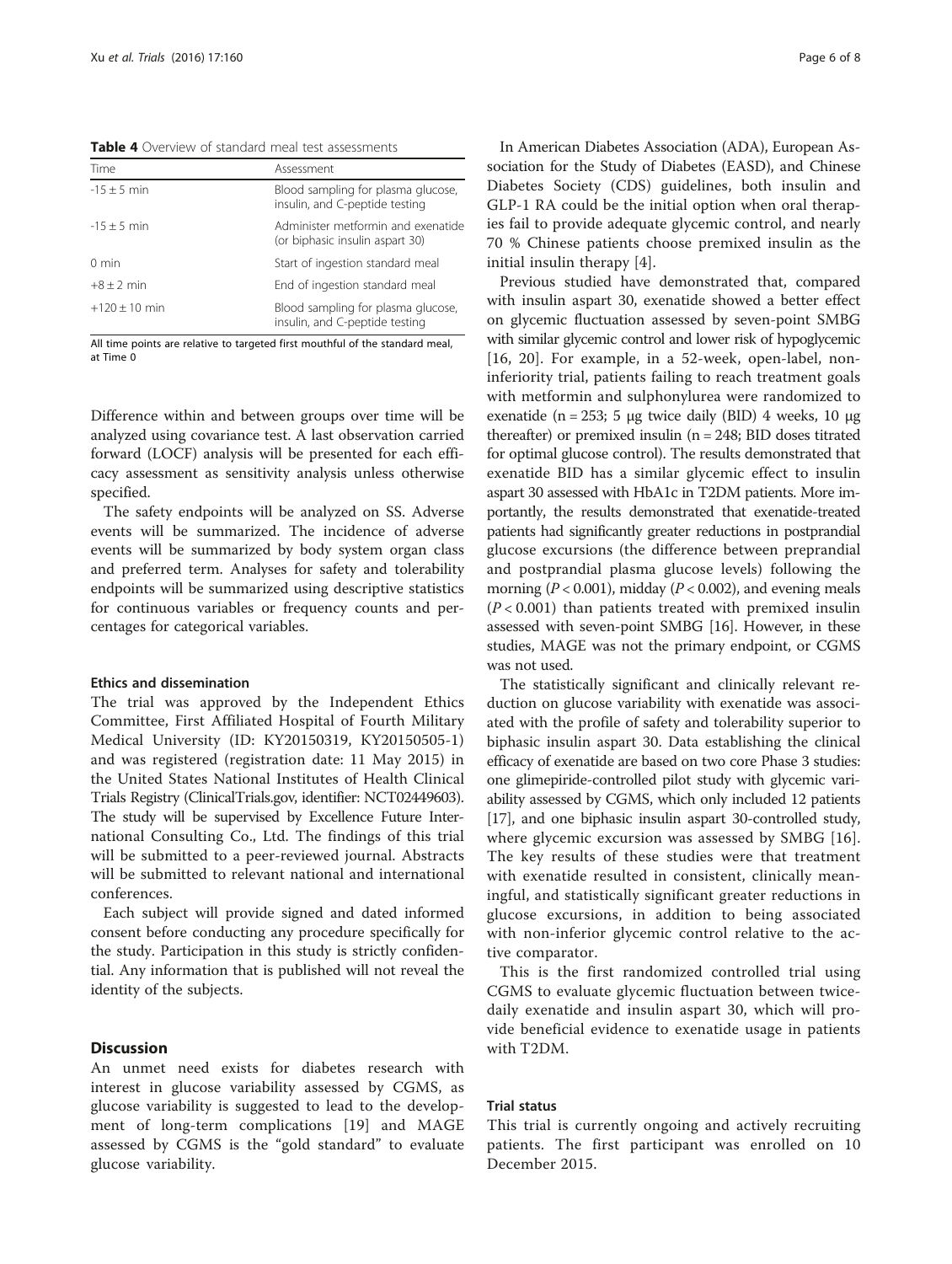<span id="page-5-0"></span>Table 4 Overview of standard meal test assessments

| Time            | Assessment                                                            |
|-----------------|-----------------------------------------------------------------------|
| $-15 + 5$ min   | Blood sampling for plasma glucose,<br>insulin, and C-peptide testing  |
| $-15 \pm 5$ min | Administer metformin and exenatide<br>(or biphasic insulin aspart 30) |
| $0 \text{ min}$ | Start of ingestion standard meal                                      |
| $+8 + 2$ min    | End of ingestion standard meal                                        |
| $+120 + 10$ min | Blood sampling for plasma glucose,<br>insulin, and C-peptide testing  |

All time points are relative to targeted first mouthful of the standard meal, at Time 0

Difference within and between groups over time will be analyzed using covariance test. A last observation carried forward (LOCF) analysis will be presented for each efficacy assessment as sensitivity analysis unless otherwise specified.

The safety endpoints will be analyzed on SS. Adverse events will be summarized. The incidence of adverse events will be summarized by body system organ class and preferred term. Analyses for safety and tolerability endpoints will be summarized using descriptive statistics for continuous variables or frequency counts and percentages for categorical variables.

#### Ethics and dissemination

The trial was approved by the Independent Ethics Committee, First Affiliated Hospital of Fourth Military Medical University (ID: KY20150319, KY20150505-1) and was registered (registration date: 11 May 2015) in the United States National Institutes of Health Clinical Trials Registry (ClinicalTrials.gov, identifier: NCT02449603). The study will be supervised by Excellence Future International Consulting Co., Ltd. The findings of this trial will be submitted to a peer-reviewed journal. Abstracts will be submitted to relevant national and international conferences.

Each subject will provide signed and dated informed consent before conducting any procedure specifically for the study. Participation in this study is strictly confidential. Any information that is published will not reveal the identity of the subjects.

#### **Discussion**

An unmet need exists for diabetes research with interest in glucose variability assessed by CGMS, as glucose variability is suggested to lead to the development of long-term complications [\[19](#page-7-0)] and MAGE assessed by CGMS is the "gold standard" to evaluate glucose variability.

In American Diabetes Association (ADA), European Association for the Study of Diabetes (EASD), and Chinese Diabetes Society (CDS) guidelines, both insulin and GLP-1 RA could be the initial option when oral therapies fail to provide adequate glycemic control, and nearly 70 % Chinese patients choose premixed insulin as the initial insulin therapy [\[4](#page-6-0)].

Previous studied have demonstrated that, compared with insulin aspart 30, exenatide showed a better effect on glycemic fluctuation assessed by seven-point SMBG with similar glycemic control and lower risk of hypoglycemic [[16, 20\]](#page-7-0). For example, in a 52-week, open-label, noninferiority trial, patients failing to reach treatment goals with metformin and sulphonylurea were randomized to exenatide (n = 253; 5 μg twice daily (BID) 4 weeks, 10 μg thereafter) or premixed insulin (n = 248; BID doses titrated for optimal glucose control). The results demonstrated that exenatide BID has a similar glycemic effect to insulin aspart 30 assessed with HbA1c in T2DM patients. More importantly, the results demonstrated that exenatide-treated patients had significantly greater reductions in postprandial glucose excursions (the difference between preprandial and postprandial plasma glucose levels) following the morning ( $P < 0.001$ ), midday ( $P < 0.002$ ), and evening meals  $(P<0.001)$  than patients treated with premixed insulin assessed with seven-point SMBG [[16](#page-7-0)]. However, in these studies, MAGE was not the primary endpoint, or CGMS was not used.

The statistically significant and clinically relevant reduction on glucose variability with exenatide was associated with the profile of safety and tolerability superior to biphasic insulin aspart 30. Data establishing the clinical efficacy of exenatide are based on two core Phase 3 studies: one glimepiride-controlled pilot study with glycemic variability assessed by CGMS, which only included 12 patients [[17](#page-7-0)], and one biphasic insulin aspart 30-controlled study, where glycemic excursion was assessed by SMBG [[16](#page-7-0)]. The key results of these studies were that treatment with exenatide resulted in consistent, clinically meaningful, and statistically significant greater reductions in glucose excursions, in addition to being associated with non-inferior glycemic control relative to the active comparator.

This is the first randomized controlled trial using CGMS to evaluate glycemic fluctuation between twicedaily exenatide and insulin aspart 30, which will provide beneficial evidence to exenatide usage in patients with T2DM.

### Trial status

This trial is currently ongoing and actively recruiting patients. The first participant was enrolled on 10 December 2015.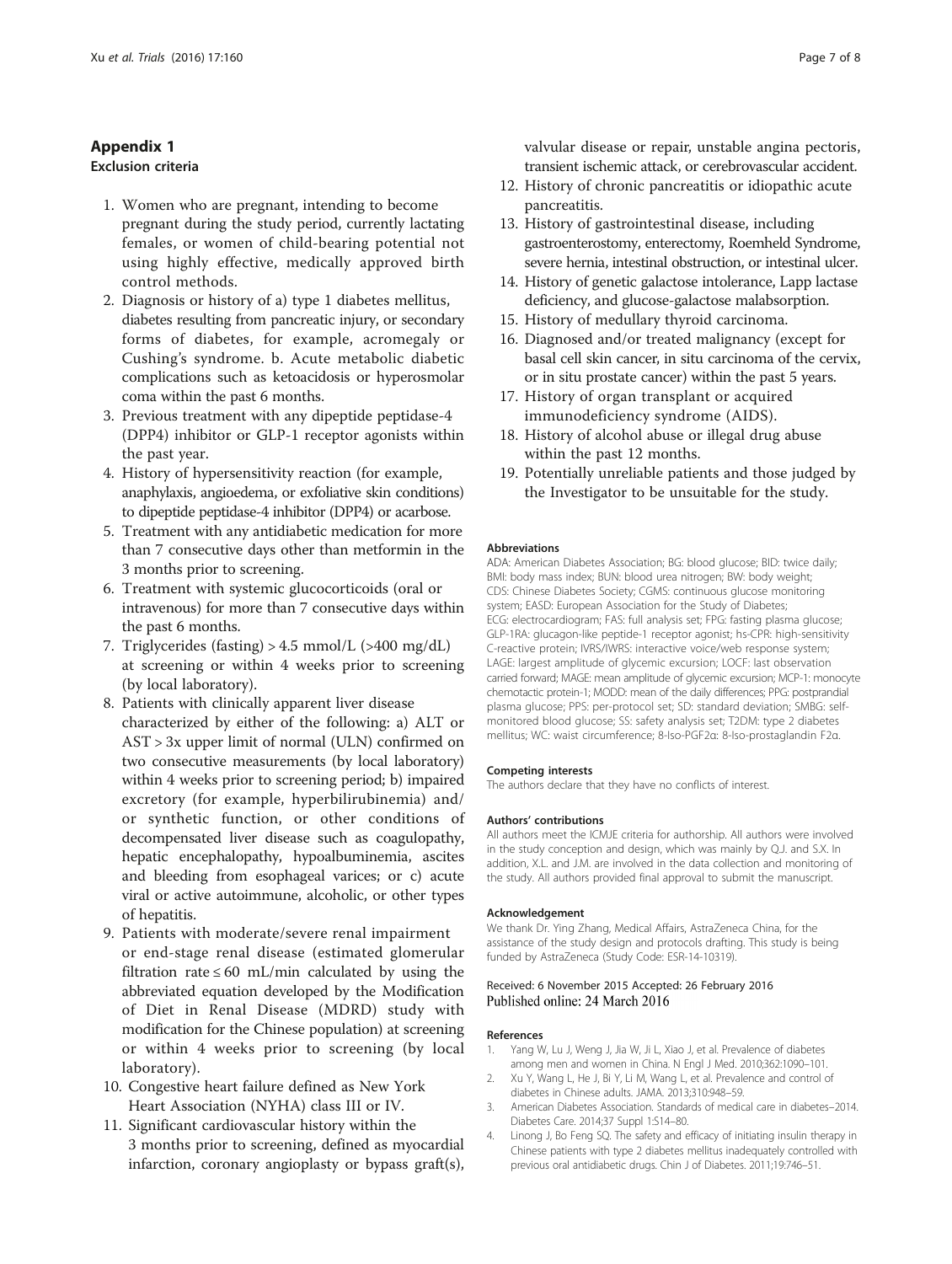## <span id="page-6-0"></span>Appendix 1 Exclusion criteria

- 1. Women who are pregnant, intending to become pregnant during the study period, currently lactating females, or women of child-bearing potential not using highly effective, medically approved birth control methods.
- 2. Diagnosis or history of a) type 1 diabetes mellitus, diabetes resulting from pancreatic injury, or secondary forms of diabetes, for example, acromegaly or Cushing's syndrome. b. Acute metabolic diabetic complications such as ketoacidosis or hyperosmolar coma within the past 6 months.
- 3. Previous treatment with any dipeptide peptidase-4 (DPP4) inhibitor or GLP-1 receptor agonists within the past year.
- 4. History of hypersensitivity reaction (for example, anaphylaxis, angioedema, or exfoliative skin conditions) to dipeptide peptidase-4 inhibitor (DPP4) or acarbose.
- 5. Treatment with any antidiabetic medication for more than 7 consecutive days other than metformin in the 3 months prior to screening.
- 6. Treatment with systemic glucocorticoids (oral or intravenous) for more than 7 consecutive days within the past 6 months.
- 7. Triglycerides (fasting) > 4.5 mmol/L (>400 mg/dL) at screening or within 4 weeks prior to screening (by local laboratory).
- 8. Patients with clinically apparent liver disease characterized by either of the following: a) ALT or AST > 3x upper limit of normal (ULN) confirmed on two consecutive measurements (by local laboratory) within 4 weeks prior to screening period; b) impaired excretory (for example, hyperbilirubinemia) and/ or synthetic function, or other conditions of decompensated liver disease such as coagulopathy, hepatic encephalopathy, hypoalbuminemia, ascites and bleeding from esophageal varices; or c) acute viral or active autoimmune, alcoholic, or other types of hepatitis.
- 9. Patients with moderate/severe renal impairment or end-stage renal disease (estimated glomerular filtration rate  $\leq 60$  mL/min calculated by using the abbreviated equation developed by the Modification of Diet in Renal Disease (MDRD) study with modification for the Chinese population) at screening or within 4 weeks prior to screening (by local laboratory).
- 10. Congestive heart failure defined as New York Heart Association (NYHA) class III or IV.
- 11. Significant cardiovascular history within the 3 months prior to screening, defined as myocardial infarction, coronary angioplasty or bypass graft(s),

valvular disease or repair, unstable angina pectoris, transient ischemic attack, or cerebrovascular accident.

- 12. History of chronic pancreatitis or idiopathic acute pancreatitis.
- 13. History of gastrointestinal disease, including gastroenterostomy, enterectomy, Roemheld Syndrome, severe hernia, intestinal obstruction, or intestinal ulcer.
- 14. History of genetic galactose intolerance, Lapp lactase deficiency, and glucose-galactose malabsorption.
- 15. History of medullary thyroid carcinoma.
- 16. Diagnosed and/or treated malignancy (except for basal cell skin cancer, in situ carcinoma of the cervix, or in situ prostate cancer) within the past 5 years.
- 17. History of organ transplant or acquired immunodeficiency syndrome (AIDS).
- 18. History of alcohol abuse or illegal drug abuse within the past 12 months.
- 19. Potentially unreliable patients and those judged by the Investigator to be unsuitable for the study.

#### Abbreviations

ADA: American Diabetes Association; BG: blood glucose; BID: twice daily; BMI: body mass index; BUN: blood urea nitrogen; BW: body weight; CDS: Chinese Diabetes Society; CGMS: continuous glucose monitoring system; EASD: European Association for the Study of Diabetes; ECG: electrocardiogram; FAS: full analysis set; FPG: fasting plasma glucose; GLP-1RA: glucagon-like peptide-1 receptor agonist; hs-CPR: high-sensitivity C-reactive protein; IVRS/IWRS: interactive voice/web response system; LAGE: largest amplitude of glycemic excursion; LOCF: last observation carried forward; MAGE: mean amplitude of glycemic excursion; MCP-1: monocyte chemotactic protein-1; MODD: mean of the daily differences; PPG: postprandial plasma glucose; PPS: per-protocol set; SD: standard deviation; SMBG: selfmonitored blood glucose; SS: safety analysis set; T2DM: type 2 diabetes mellitus; WC: waist circumference; 8-Iso-PGF2α: 8-Iso-prostaglandin F2α.

#### Competing interests

The authors declare that they have no conflicts of interest.

#### Authors' contributions

All authors meet the ICMJE criteria for authorship. All authors were involved in the study conception and design, which was mainly by Q.J. and S.X. In addition, X.L. and J.M. are involved in the data collection and monitoring of the study. All authors provided final approval to submit the manuscript.

#### Acknowledgement

We thank Dr. Ying Zhang, Medical Affairs, AstraZeneca China, for the assistance of the study design and protocols drafting. This study is being funded by AstraZeneca (Study Code: ESR-14-10319).

#### Received: 6 November 2015 Accepted: 26 February 2016 Published online: 24 March 2016

#### References

- 1. Yang W, Lu J, Weng J, Jia W, Ji L, Xiao J, et al. Prevalence of diabetes among men and women in China. N Engl J Med. 2010;362:1090–101.
- 2. Xu Y, Wang L, He J, Bi Y, Li M, Wang L, et al. Prevalence and control of diabetes in Chinese adults. JAMA. 2013;310:948–59.
- 3. American Diabetes Association. Standards of medical care in diabetes–2014. Diabetes Care. 2014;37 Suppl 1:S14–80.
- 4. Linong J, Bo Feng SQ. The safety and efficacy of initiating insulin therapy in Chinese patients with type 2 diabetes mellitus inadequately controlled with previous oral antidiabetic drugs. Chin J of Diabetes. 2011;19:746–51.